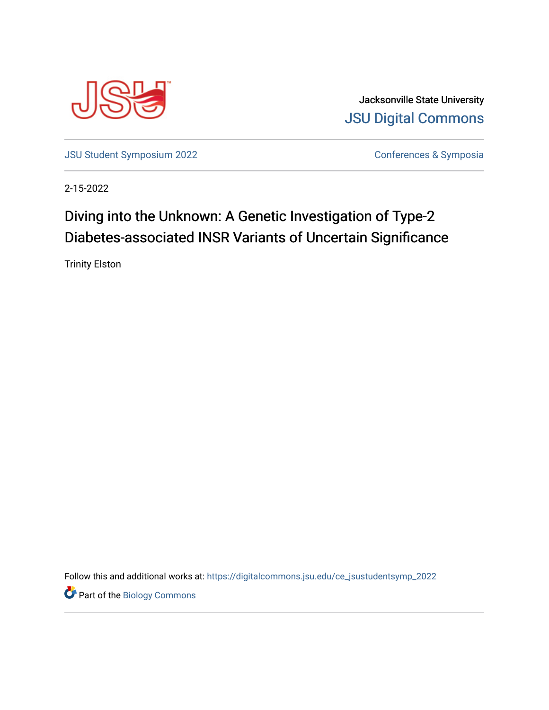

Jacksonville State University [JSU Digital Commons](https://digitalcommons.jsu.edu/) 

[JSU Student Symposium 2022](https://digitalcommons.jsu.edu/ce_jsustudentsymp_2022) **Conferences & Symposia** 

2-15-2022

## Diving into the Unknown: A Genetic Investigation of Type-2 Diabetes-associated INSR Variants of Uncertain Significance

Trinity Elston

Follow this and additional works at: [https://digitalcommons.jsu.edu/ce\\_jsustudentsymp\\_2022](https://digitalcommons.jsu.edu/ce_jsustudentsymp_2022?utm_source=digitalcommons.jsu.edu%2Fce_jsustudentsymp_2022%2F47&utm_medium=PDF&utm_campaign=PDFCoverPages) 

**Part of the Biology Commons**